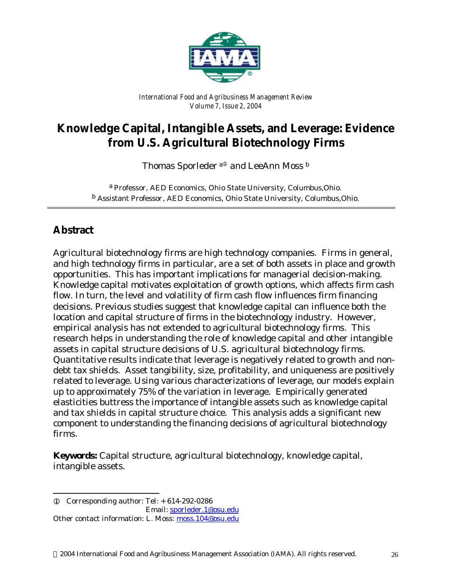

*International Food and Agribusiness Management Review Volume 7, Issue 2, 2004*

# **Knowledge Capital, Intangible Assets, and Leverage: Evidence from U.S. Agricultural Biotechnology Firms**

Thomas Sporleder $^{\mathrm{a}\oplus}$  and LeeAnn Moss  $^{\mathrm{b}}$ 

a *Professor, AED Economics, Ohio State University, Columbus,Ohio.* b *Assistant Professor, AED Economics, Ohio State University, Columbus,Ohio.*

## **Abstract**

l

Agricultural biotechnology firms are high technology companies. Firms in general, and high technology firms in particular, are a set of both assets in place and growth opportunities. This has important implications for managerial decision-making. Knowledge capital motivates exploitation of growth options, which affects firm cash flow. In turn, the level and volatility of firm cash flow influences firm financing decisions. Previous studies suggest that knowledge capital can influence both the location and capital structure of firms in the biotechnology industry. However, empirical analysis has not extended to agricultural biotechnology firms. This research helps in understanding the role of knowledge capital and other intangible assets in capital structure decisions of U.S. agricultural biotechnology firms. Quantitative results indicate that leverage is negatively related to growth and nondebt tax shields. Asset tangibility, size, profitability, and uniqueness are positively related to leverage. Using various characterizations of leverage, our models explain up to approximately 75% of the variation in leverage. Empirically generated elasticities buttress the importance of intangible assets such as knowledge capital and tax shields in capital structure choice. This analysis adds a significant new component to understanding the financing decisions of agricultural biotechnology firms.

**Keywords:** Capital structure, agricultural biotechnology, knowledge capital, intangible assets.

 $Q$  Corresponding author: Tel:  $+614-292-0286$  Email: sporleder.1@osu.edu Other contact information: L. Moss: moss.104@osu.edu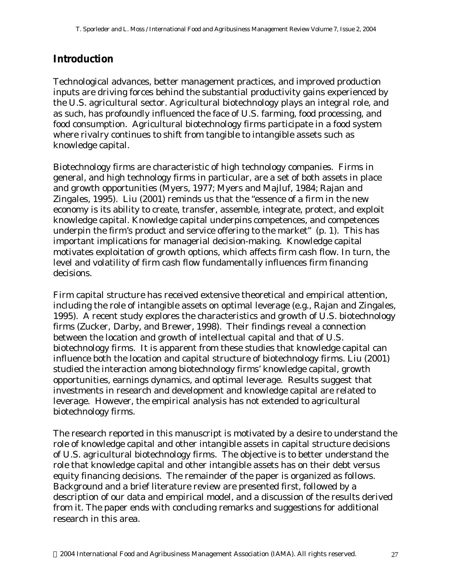#### **Introduction**

Technological advances, better management practices, and improved production inputs are driving forces behind the substantial productivity gains experienced by the U.S. agricultural sector. Agricultural biotechnology plays an integral role, and as such, has profoundly influenced the face of U.S. farming, food processing, and food consumption. Agricultural biotechnology firms participate in a food system where rivalry continues to shift from tangible to intangible assets such as knowledge capital.

Biotechnology firms are characteristic of high technology companies. Firms in general, and high technology firms in particular, are a set of both assets in place and growth opportunities (Myers, 1977; Myers and Majluf, 1984; Rajan and Zingales, 1995). Liu (2001) reminds us that the "essence of a firm in the new economy is its ability to create, transfer, assemble, integrate, protect, and exploit knowledge capital. Knowledge capital underpins competences, and competences underpin the firm's product and service offering to the market" (p. 1). This has important implications for managerial decision-making. Knowledge capital motivates exploitation of growth options, which affects firm cash flow. In turn, the level and volatility of firm cash flow fundamentally influences firm financing decisions.

Firm capital structure has received extensive theoretical and empirical attention, including the role of intangible assets on optimal leverage (e.g., Rajan and Zingales, 1995). A recent study explores the characteristics and growth of U.S. biotechnology firms (Zucker, Darby, and Brewer, 1998). Their findings reveal a connection between the location and growth of intellectual capital and that of U.S. biotechnology firms. It is apparent from these studies that knowledge capital can influence both the location and capital structure of biotechnology firms. Liu (2001) studied the interaction among biotechnology firms' knowledge capital, growth opportunities, earnings dynamics, and optimal leverage. Results suggest that investments in research and development and knowledge capital are related to leverage. However, the empirical analysis has not extended to agricultural biotechnology firms.

The research reported in this manuscript is motivated by a desire to understand the role of knowledge capital and other intangible assets in capital structure decisions of U.S. agricultural biotechnology firms. The objective is to better understand the role that knowledge capital and other intangible assets has on their debt versus equity financing decisions. The remainder of the paper is organized as follows. Background and a brief literature review are presented first, followed by a description of our data and empirical model, and a discussion of the results derived from it. The paper ends with concluding remarks and suggestions for additional research in this area.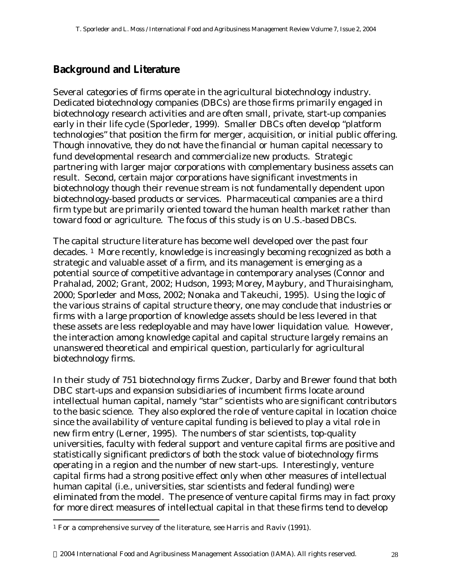### **Background and Literature**

Several categories of firms operate in the agricultural biotechnology industry. Dedicated biotechnology companies (DBCs) are those firms primarily engaged in biotechnology research activities and are often small, private, start-up companies early in their life cycle (Sporleder, 1999). Smaller DBCs often develop "platform technologies" that position the firm for merger, acquisition, or initial public offering. Though innovative, they do not have the financial or human capital necessary to fund developmental research and commercialize new products. Strategic partnering with larger major corporations with complementary business assets can result. Second, certain major corporations have significant investments in biotechnology though their revenue stream is not fundamentally dependent upon biotechnology-based products or services. Pharmaceutical companies are a third firm type but are primarily oriented toward the human health market rather than toward food or agriculture. The focus of this study is on U.S.-based DBCs.

The capital structure literature has become well developed over the past four decades. 1 More recently, knowledge is increasingly becoming recognized as both a strategic and valuable asset of a firm, and its management is emerging as a potential source of competitive advantage in contemporary analyses (Connor and Prahalad, 2002; Grant, 2002; Hudson, 1993; Morey, Maybury, and Thuraisingham, 2000; Sporleder and Moss, 2002; Nonaka and Takeuchi, 1995). Using the logic of the various strains of capital structure theory, one may conclude that industries or firms with a large proportion of knowledge assets should be less levered in that these assets are less redeployable and may have lower liquidation value. However, the interaction among knowledge capital and capital structure largely remains an unanswered theoretical and empirical question, particularly for agricultural biotechnology firms.

In their study of 751 biotechnology firms Zucker, Darby and Brewer found that both DBC start-ups and expansion subsidiaries of incumbent firms locate around intellectual human capital, namely "star" scientists who are significant contributors to the basic science. They also explored the role of venture capital in location choice since the availability of venture capital funding is believed to play a vital role in new firm entry (Lerner, 1995). The numbers of star scientists, top-quality universities, faculty with federal support and venture capital firms are positive and statistically significant predictors of both the stock value of biotechnology firms operating in a region and the number of new start-ups. Interestingly, venture capital firms had a strong positive effect only when other measures of intellectual human capital (i.e., universities, star scientists and federal funding) were eliminated from the model. The presence of venture capital firms may in fact proxy for more direct measures of intellectual capital in that these firms tend to develop

l

<sup>1</sup> For a comprehensive survey of the literature, see Harris and Raviv (1991).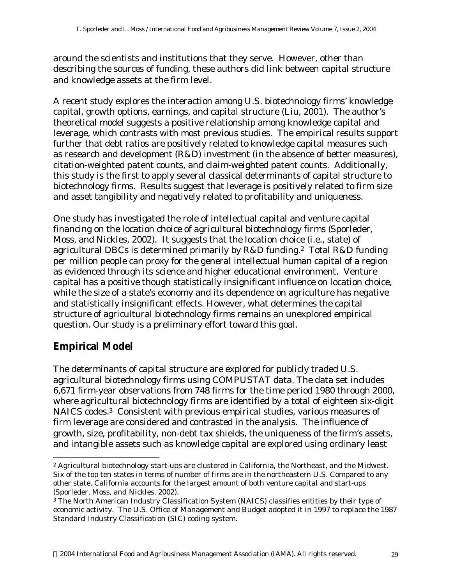around the scientists and institutions that they serve. However, other than describing the sources of funding, these authors did link between capital structure and knowledge assets at the firm level.

A recent study explores the interaction among U.S. biotechnology firms' knowledge capital, growth options, earnings, and capital structure (Liu, 2001). The author's theoretical model suggests a positive relationship among knowledge capital and leverage, which contrasts with most previous studies. The empirical results support further that debt ratios are positively related to knowledge capital measures such as research and development (R&D) investment (in the absence of better measures), citation-weighted patent counts, and claim-weighted patent counts. Additionally, this study is the first to apply several classical determinants of capital structure to biotechnology firms. Results suggest that leverage is positively related to firm size and asset tangibility and negatively related to profitability and uniqueness.

One study has investigated the role of intellectual capital and venture capital financing on the location choice of agricultural biotechnology firms (Sporleder, Moss, and Nickles, 2002). It suggests that the location choice (i.e., state) of agricultural DBCs is determined primarily by R&D funding.2 Total R&D funding per million people can proxy for the general intellectual human capital of a region as evidenced through its science and higher educational environment. Venture capital has a positive though statistically insignificant influence on location choice, while the size of a state's economy and its dependence on agriculture has negative and statistically insignificant effects. However, what determines the capital structure of agricultural biotechnology firms remains an unexplored empirical question. Our study is a preliminary effort toward this goal.

# **Empirical Model**

l

The determinants of capital structure are explored for publicly traded U.S. agricultural biotechnology firms using COMPUSTAT data. The data set includes 6,671 firm-year observations from 748 firms for the time period 1980 through 2000, where agricultural biotechnology firms are identified by a total of eighteen six-digit NAICS codes.3 Consistent with previous empirical studies, various measures of firm leverage are considered and contrasted in the analysis. The influence of growth, size, profitability, non-debt tax shields, the uniqueness of the firm's assets, and intangible assets such as knowledge capital are explored using ordinary least

<sup>2</sup> Agricultural biotechnology start-ups are clustered in California, the Northeast, and the Midwest. Six of the top ten states in terms of number of firms are in the northeastern U.S. Compared to any other state, California accounts for the largest amount of both venture capital and start-ups (Sporleder, Moss, and Nickles, 2002).

<sup>3</sup> The North American Industry Classification System (NAICS) classifies entities by their type of economic activity. The U.S. Office of Management and Budget adopted it in 1997 to replace the 1987 Standard Industry Classification (SIC) coding system.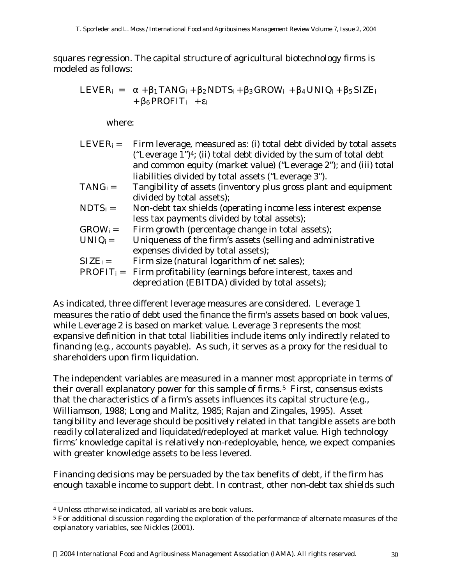squares regression. The capital structure of agricultural biotechnology firms is modeled as follows:

$$
LEVER_i = \alpha + \beta_1 TANG_i + \beta_2 NDTS_i + \beta_3 GROW_i + \beta_4 UNIQ_i + \beta_5 SIZE_i
$$
  
+  $\beta_6 PROFIT_i + \epsilon_i$ 

where:

| $LEVERi =$   | Firm leverage, measured as: (i) total debt divided by total assets             |
|--------------|--------------------------------------------------------------------------------|
|              | ("Leverage 1") <sup>4</sup> ; (ii) total debt divided by the sum of total debt |
|              | and common equity (market value) ("Leverage 2"); and (iii) total               |
|              | liabilities divided by total assets ("Leverage 3").                            |
| $TANG_i =$   | Tangibility of assets (inventory plus gross plant and equipment                |
|              | divided by total assets);                                                      |
| $NDTS_i =$   | Non-debt tax shields (operating income less interest expense                   |
|              | less tax payments divided by total assets);                                    |
| $GROW_i =$   | Firm growth (percentage change in total assets);                               |
| $UNIQ_i =$   | Uniqueness of the firm's assets (selling and administrative                    |
|              | expenses divided by total assets);                                             |
| $SIZE_i =$   | Firm size (natural logarithm of net sales);                                    |
| $PROFIT_i =$ | Firm profitability (earnings before interest, taxes and                        |
|              | depreciation (EBITDA) divided by total assets);                                |
|              |                                                                                |

As indicated, three different leverage measures are considered. Leverage 1 measures the ratio of debt used the finance the firm's assets based on book values, while Leverage 2 is based on market value. Leverage 3 represents the most expansive definition in that total liabilities include items only indirectly related to financing (e.g., accounts payable). As such, it serves as a proxy for the residual to shareholders upon firm liquidation.

The independent variables are measured in a manner most appropriate in terms of their overall explanatory power for this sample of firms.<sup>5</sup> First, consensus exists that the characteristics of a firm's assets influences its capital structure (e.g., Williamson, 1988; Long and Malitz, 1985; Rajan and Zingales, 1995). Asset tangibility and leverage should be positively related in that tangible assets are both readily collateralized and liquidated/redeployed at market value. High technology firms' knowledge capital is relatively non-redeployable, hence, we expect companies with greater knowledge assets to be less levered.

Financing decisions may be persuaded by the tax benefits of debt, if the firm has enough taxable income to support debt. In contrast, other non-debt tax shields such

l

<sup>4</sup> Unless otherwise indicated, all variables are book values.

<sup>5</sup> For additional discussion regarding the exploration of the performance of alternate measures of the explanatory variables, see Nickles (2001).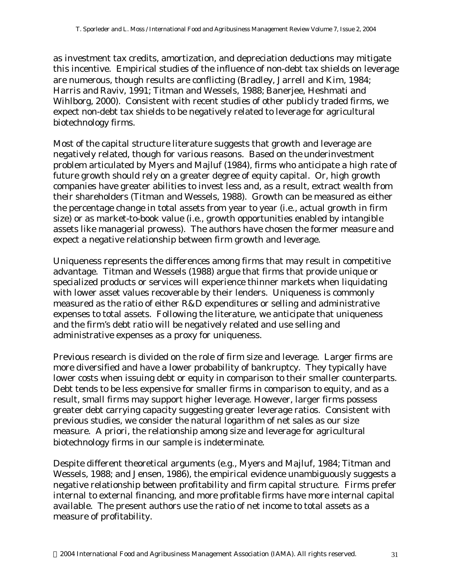as investment tax credits, amortization, and depreciation deductions may mitigate this incentive. Empirical studies of the influence of non-debt tax shields on leverage are numerous, though results are conflicting (Bradley, Jarrell and Kim, 1984; Harris and Raviv, 1991; Titman and Wessels, 1988; Banerjee, Heshmati and Wihlborg, 2000). Consistent with recent studies of other publicly traded firms, we expect non-debt tax shields to be negatively related to leverage for agricultural biotechnology firms.

Most of the capital structure literature suggests that growth and leverage are negatively related, though for various reasons. Based on the underinvestment problem articulated by Myers and Majluf (1984), firms who anticipate a high rate of future growth should rely on a greater degree of equity capital. Or, high growth companies have greater abilities to invest less and, as a result, extract wealth from their shareholders (Titman and Wessels, 1988). Growth can be measured as either the percentage change in total assets from year to year (i.e., actual growth in firm size) or as market-to-book value (i.e., growth opportunities enabled by intangible assets like managerial prowess). The authors have chosen the former measure and expect a negative relationship between firm growth and leverage.

Uniqueness represents the differences among firms that may result in competitive advantage. Titman and Wessels (1988) argue that firms that provide unique or specialized products or services will experience thinner markets when liquidating with lower asset values recoverable by their lenders. Uniqueness is commonly measured as the ratio of either R&D expenditures or selling and administrative expenses to total assets. Following the literature, we anticipate that uniqueness and the firm's debt ratio will be negatively related and use selling and administrative expenses as a proxy for uniqueness.

Previous research is divided on the role of firm size and leverage. Larger firms are more diversified and have a lower probability of bankruptcy. They typically have lower costs when issuing debt or equity in comparison to their smaller counterparts. Debt tends to be less expensive for smaller firms in comparison to equity, and as a result, small firms may support higher leverage. However, larger firms possess greater debt carrying capacity suggesting greater leverage ratios. Consistent with previous studies, we consider the natural logarithm of net sales as our size measure. A priori, the relationship among size and leverage for agricultural biotechnology firms in our sample is indeterminate.

Despite different theoretical arguments (e.g., Myers and Majluf, 1984; Titman and Wessels, 1988; and Jensen, 1986), the empirical evidence unambiguously suggests a negative relationship between profitability and firm capital structure. Firms prefer internal to external financing, and more profitable firms have more internal capital available. The present authors use the ratio of net income to total assets as a measure of profitability.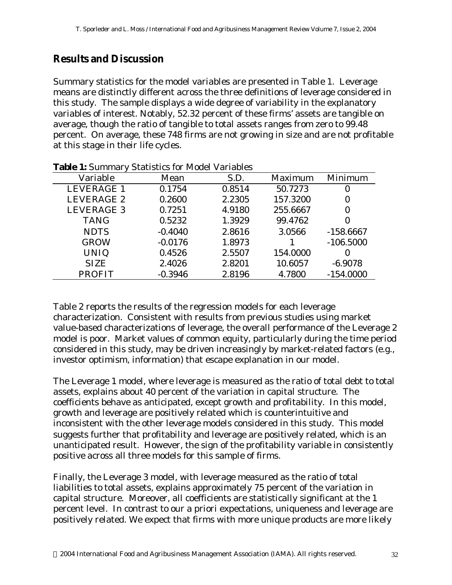### **Results and Discussion**

Summary statistics for the model variables are presented in Table 1. Leverage means are distinctly different across the three definitions of leverage considered in this study. The sample displays a wide degree of variability in the explanatory variables of interest. Notably, 52.32 percent of these firms' assets are tangible on average, though the ratio of tangible to total assets ranges from zero to 99.48 percent. On average, these 748 firms are not growing in size and are not profitable at this stage in their life cycles.

| Variable          | Mean      | S.D.   | Maximum  | Minimum     |
|-------------------|-----------|--------|----------|-------------|
| <b>LEVERAGE 1</b> | 0.1754    | 0.8514 | 50.7273  | $\Omega$    |
| LEVERAGE 2        | 0.2600    | 2.2305 | 157.3200 | $\bf{0}$    |
| <b>LEVERAGE 3</b> | 0.7251    | 4.9180 | 255.6667 |             |
| <b>TANG</b>       | 0.5232    | 1.3929 | 99.4762  |             |
| <b>NDTS</b>       | $-0.4040$ | 2.8616 | 3.0566   | $-158.6667$ |
| <b>GROW</b>       | $-0.0176$ | 1.8973 |          | $-106.5000$ |
| <b>UNIQ</b>       | 0.4526    | 2.5507 | 154.0000 | $\Omega$    |
| <b>SIZE</b>       | 2.4026    | 2.8201 | 10.6057  | $-6.9078$   |
| <b>PROFIT</b>     | $-0.3946$ | 2.8196 | 4.7800   | $-154.0000$ |

**Table 1:** Summary Statistics for Model Variables

Table 2 reports the results of the regression models for each leverage characterization. Consistent with results from previous studies using market value-based characterizations of leverage, the overall performance of the Leverage 2 model is poor. Market values of common equity, particularly during the time period considered in this study, may be driven increasingly by market-related factors (e.g., investor optimism, information) that escape explanation in our model.

The Leverage 1 model, where leverage is measured as the ratio of total debt to total assets, explains about 40 percent of the variation in capital structure. The coefficients behave as anticipated, except growth and profitability. In this model, growth and leverage are positively related which is counterintuitive and inconsistent with the other leverage models considered in this study. This model suggests further that profitability and leverage are positively related, which is an unanticipated result. However, the sign of the profitability variable in consistently positive across all three models for this sample of firms.

Finally, the Leverage 3 model, with leverage measured as the ratio of total liabilities to total assets, explains approximately 75 percent of the variation in capital structure. Moreover, all coefficients are statistically significant at the 1 percent level. In contrast to our a priori expectations, uniqueness and leverage are positively related. We expect that firms with more unique products are more likely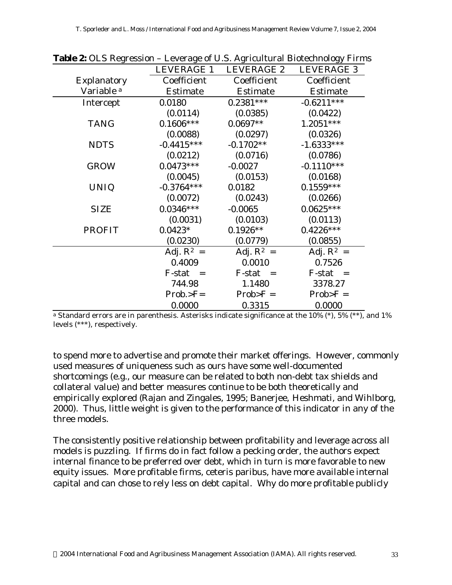|                       | $\frac{1}{2}$ we have a contract the contract of $\frac{1}{2}$ of $\frac{1}{2}$ . The contract of $\frac{1}{2}$ of $\frac{1}{2}$ in the contract of $\frac{1}{2}$ of $\frac{1}{2}$ in the contract of $\frac{1}{2}$ of $\frac{1}{2}$ in the contract of $\frac{1}{2}$ |                 |                 |
|-----------------------|-----------------------------------------------------------------------------------------------------------------------------------------------------------------------------------------------------------------------------------------------------------------------|-----------------|-----------------|
|                       | LEVERAGE 1                                                                                                                                                                                                                                                            | LEVERAGE 2      | LEVERAGE 3      |
| Explanatory           | Coefficient                                                                                                                                                                                                                                                           | Coefficient     | Coefficient     |
| Variable <sup>a</sup> | <b>Estimate</b>                                                                                                                                                                                                                                                       | <b>Estimate</b> | <b>Estimate</b> |
| Intercept             | 0.0180                                                                                                                                                                                                                                                                | $0.2381***$     | $-0.6211***$    |
|                       | (0.0114)                                                                                                                                                                                                                                                              | (0.0385)        | (0.0422)        |
| <b>TANG</b>           | $0.1606***$                                                                                                                                                                                                                                                           | $0.0697**$      | $1.2051***$     |
|                       | (0.0088)                                                                                                                                                                                                                                                              | (0.0297)        | (0.0326)        |
| <b>NDTS</b>           | $-0.4415***$                                                                                                                                                                                                                                                          | $-0.1702**$     | $-1.6333***$    |
|                       | (0.0212)                                                                                                                                                                                                                                                              | (0.0716)        | (0.0786)        |
| <b>GROW</b>           | $0.0473***$                                                                                                                                                                                                                                                           | $-0.0027$       | $-0.1110***$    |
|                       | (0.0045)                                                                                                                                                                                                                                                              | (0.0153)        | (0.0168)        |
| <b>UNIQ</b>           | $-0.3764***$                                                                                                                                                                                                                                                          | 0.0182          | $0.1559***$     |
|                       | (0.0072)                                                                                                                                                                                                                                                              | (0.0243)        | (0.0266)        |
| <b>SIZE</b>           | $0.0346***$                                                                                                                                                                                                                                                           | $-0.0065$       | $0.0625***$     |
|                       | (0.0031)                                                                                                                                                                                                                                                              | (0.0103)        | (0.0113)        |
| <b>PROFIT</b>         | $0.0423*$                                                                                                                                                                                                                                                             | $0.1926**$      | $0.4226***$     |
|                       | (0.0230)                                                                                                                                                                                                                                                              | (0.0779)        | (0.0855)        |
|                       | Adj. $R^2$ =                                                                                                                                                                                                                                                          | Adj. $R^2$ =    | Adj. $R^2$ =    |
|                       | 0.4009                                                                                                                                                                                                                                                                | 0.0010          | 0.7526          |
|                       | F-stat<br>$=$                                                                                                                                                                                                                                                         | $F-stat =$      | $F-stat =$      |
|                       | 744.98                                                                                                                                                                                                                                                                | 1.1480          | 3378.27         |
|                       | $Prob. > F =$                                                                                                                                                                                                                                                         | $Prob > F =$    | $Prob > F =$    |
|                       | 0.0000                                                                                                                                                                                                                                                                | 0.3315          | 0.0000          |

**Table 2:** OLS Regression – Leverage of U.S. Agricultural Biotechnology Firms

<sup>a</sup> Standard errors are in parenthesis. Asterisks indicate significance at the 10%  $(*)$ , 5%  $(**)$ , and 1% levels (\*\*\*), respectively.

to spend more to advertise and promote their market offerings. However, commonly used measures of uniqueness such as ours have some well-documented shortcomings (e.g., our measure can be related to both non-debt tax shields and collateral value) and better measures continue to be both theoretically and empirically explored (Rajan and Zingales, 1995; Banerjee, Heshmati, and Wihlborg, 2000). Thus, little weight is given to the performance of this indicator in any of the three models.

The consistently positive relationship between profitability and leverage across all models is puzzling. If firms do in fact follow a pecking order, the authors expect internal finance to be preferred over debt, which in turn is more favorable to new equity issues. More profitable firms, ceteris paribus, have more available internal capital and can chose to rely less on debt capital. Why do more profitable publicly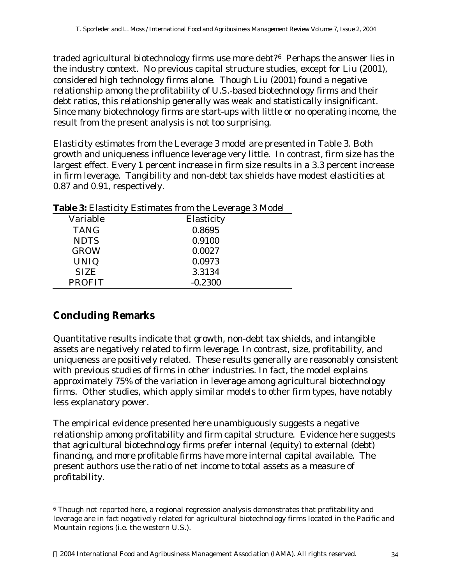traded agricultural biotechnology firms use more debt?6 Perhaps the answer lies in the industry context. No previous capital structure studies, except for Liu (2001), considered high technology firms alone. Though Liu (2001) found a negative relationship among the profitability of U.S.-based biotechnology firms and their debt ratios, this relationship generally was weak and statistically insignificant. Since many biotechnology firms are start-ups with little or no operating income, the result from the present analysis is not too surprising.

Elasticity estimates from the Leverage 3 model are presented in Table 3. Both growth and uniqueness influence leverage very little. In contrast, firm size has the largest effect. Every 1 percent increase in firm size results in a 3.3 percent increase in firm leverage. Tangibility and non-debt tax shields have modest elasticities at 0.87 and 0.91, respectively.

|               | . .        |
|---------------|------------|
| Variable      | Elasticity |
| <b>TANG</b>   | 0.8695     |
| <b>NDTS</b>   | 0.9100     |
| <b>GROW</b>   | 0.0027     |
| <b>UNIQ</b>   | 0.0973     |
| <b>SIZE</b>   | 3.3134     |
| <b>PROFIT</b> | $-0.2300$  |

**Table 3:** Elasticity Estimates from the Leverage 3 Model

### **Concluding Remarks**

l

Quantitative results indicate that growth, non-debt tax shields, and intangible assets are negatively related to firm leverage. In contrast, size, profitability, and uniqueness are positively related. These results generally are reasonably consistent with previous studies of firms in other industries. In fact, the model explains approximately 75% of the variation in leverage among agricultural biotechnology firms. Other studies, which apply similar models to other firm types, have notably less explanatory power.

The empirical evidence presented here unambiguously suggests a negative relationship among profitability and firm capital structure. Evidence here suggests that agricultural biotechnology firms prefer internal (equity) to external (debt) financing, and more profitable firms have more internal capital available. The present authors use the ratio of net income to total assets as a measure of profitability.

<sup>6</sup> Though not reported here, a regional regression analysis demonstrates that profitability and leverage are in fact negatively related for agricultural biotechnology firms located in the Pacific and Mountain regions (i.e. the western U.S.).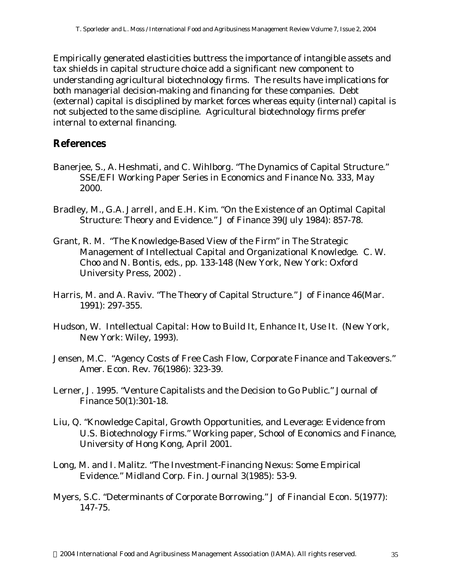Empirically generated elasticities buttress the importance of intangible assets and tax shields in capital structure choice add a significant new component to understanding agricultural biotechnology firms. The results have implications for both managerial decision-making and financing for these companies. Debt (external) capital is disciplined by market forces whereas equity (internal) capital is not subjected to the same discipline. Agricultural biotechnology firms prefer internal to external financing.

### **References**

- Banerjee, S., A. Heshmati, and C. Wihlborg. "The Dynamics of Capital Structure." SSE/EFI Working Paper Series in Economics and Finance No. 333, May 2000.
- Bradley, M., G.A. Jarrell, and E.H. Kim. "On the Existence of an Optimal Capital Structure: Theory and Evidence." J of Finance 39(July 1984): 857-78.
- Grant, R. M. "The Knowledge-Based View of the Firm" in The Strategic Management of Intellectual Capital and Organizational Knowledge. C. W. Choo and N. Bontis, eds., pp. 133-148 (New York, New York: Oxford University Press, 2002) .
- Harris, M. and A. Raviv. "The Theory of Capital Structure." J of Finance 46(Mar. 1991): 297-355.
- Hudson, W. Intellectual Capital: How to Build It, Enhance It, Use It. (New York, New York: Wiley, 1993).
- Jensen, M.C. "Agency Costs of Free Cash Flow, Corporate Finance and Takeovers." Amer. Econ. Rev. 76(1986): 323-39.
- Lerner, J. 1995. "Venture Capitalists and the Decision to Go Public." Journal of Finance 50(1):301-18.
- Liu, Q. "Knowledge Capital, Growth Opportunities, and Leverage: Evidence from U.S. Biotechnology Firms." Working paper, School of Economics and Finance, University of Hong Kong, April 2001.
- Long, M. and I. Malitz. "The Investment-Financing Nexus: Some Empirical Evidence." Midland Corp. Fin. Journal 3(1985): 53-9.
- Myers, S.C. "Determinants of Corporate Borrowing." J of Financial Econ. 5(1977): 147-75.